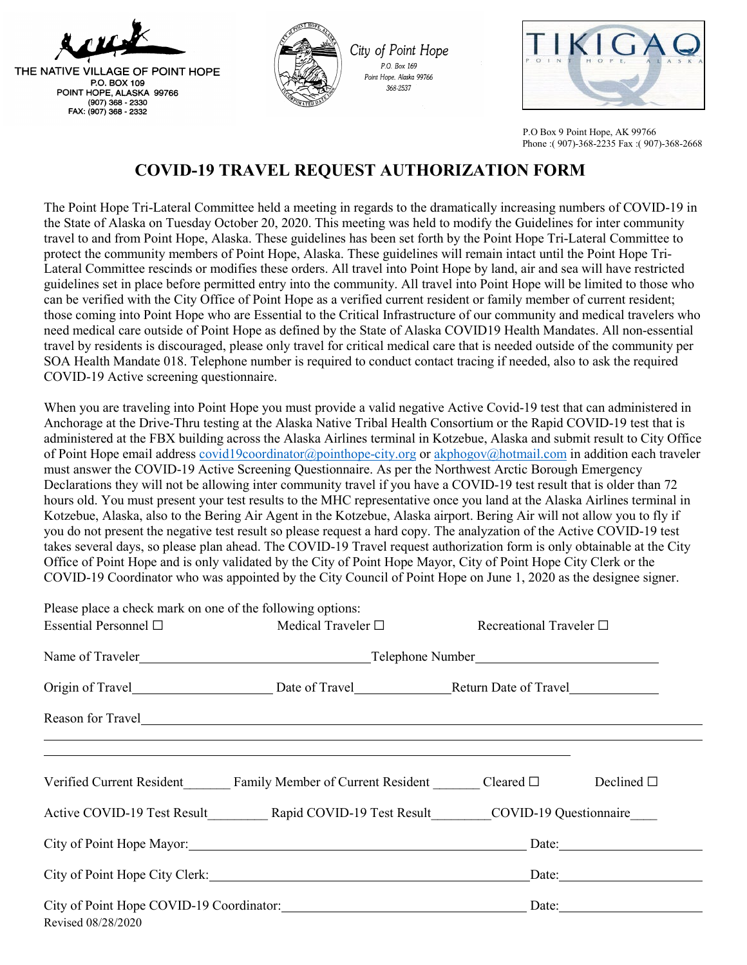

THE NATIVE VILLAGE OF POINT HOPE P.O. BOX 109 POINT HOPE, ALASKA 99766 (907) 368 - 2330 FAX: (907) 368 - 2332



City of Point Hope P.O. Box 169 Point Hope, Alaska 99766 368-2537



 P.O Box 9 Point Hope, AK 99766 Phone :( 907)-368-2235 Fax :( 907)-368-2668

## **COVID-19 TRAVEL REQUEST AUTHORIZATION FORM**

The Point Hope Tri-Lateral Committee held a meeting in regards to the dramatically increasing numbers of COVID-19 in the State of Alaska on Tuesday October 20, 2020. This meeting was held to modify the Guidelines for inter community travel to and from Point Hope, Alaska. These guidelines has been set forth by the Point Hope Tri-Lateral Committee to protect the community members of Point Hope, Alaska. These guidelines will remain intact until the Point Hope Tri-Lateral Committee rescinds or modifies these orders. All travel into Point Hope by land, air and sea will have restricted guidelines set in place before permitted entry into the community. All travel into Point Hope will be limited to those who can be verified with the City Office of Point Hope as a verified current resident or family member of current resident; those coming into Point Hope who are Essential to the Critical Infrastructure of our community and medical travelers who need medical care outside of Point Hope as defined by the State of Alaska COVID19 Health Mandates. All non-essential travel by residents is discouraged, please only travel for critical medical care that is needed outside of the community per SOA Health Mandate 018. Telephone number is required to conduct contact tracing if needed, also to ask the required COVID-19 Active screening questionnaire.

When you are traveling into Point Hope you must provide a valid negative Active Covid-19 test that can administered in Anchorage at the Drive-Thru testing at the Alaska Native Tribal Health Consortium or the Rapid COVID-19 test that is administered at the FBX building across the Alaska Airlines terminal in Kotzebue, Alaska and submit result to City Office of Point Hope email address [covid19coordinator@pointhope-city.org](mailto:covid19coordinator@pointhope-city.org) or [akphogov@hotmail.com](mailto:akphogov@hotmail.com) in addition each traveler must answer the COVID-19 Active Screening Questionnaire. As per the Northwest Arctic Borough Emergency Declarations they will not be allowing inter community travel if you have a COVID-19 test result that is older than 72 hours old. You must present your test results to the MHC representative once you land at the Alaska Airlines terminal in Kotzebue, Alaska, also to the Bering Air Agent in the Kotzebue, Alaska airport. Bering Air will not allow you to fly if you do not present the negative test result so please request a hard copy. The analyzation of the Active COVID-19 test takes several days, so please plan ahead. The COVID-19 Travel request authorization form is only obtainable at the City Office of Point Hope and is only validated by the City of Point Hope Mayor, City of Point Hope City Clerk or the COVID-19 Coordinator who was appointed by the City Council of Point Hope on June 1, 2020 as the designee signer.

| Please place a check mark on one of the following options:                 |                                                                                                                                                                                                                                     |                                                                               |  |
|----------------------------------------------------------------------------|-------------------------------------------------------------------------------------------------------------------------------------------------------------------------------------------------------------------------------------|-------------------------------------------------------------------------------|--|
| Essential Personnel $\square$                                              | Medical Traveler $\square$ Recreational Traveler $\square$                                                                                                                                                                          |                                                                               |  |
|                                                                            | Name of Traveler <u>Number Communication</u> Celephone Number Telephone Number Communication Celebrate Communication Celebrate Communication Celebrate Communication Celebrate Communication Celebrate Communication Celebrate Comm |                                                                               |  |
|                                                                            |                                                                                                                                                                                                                                     |                                                                               |  |
|                                                                            | Reason for Travel                                                                                                                                                                                                                   |                                                                               |  |
|                                                                            |                                                                                                                                                                                                                                     |                                                                               |  |
|                                                                            |                                                                                                                                                                                                                                     | Active COVID-19 Test Result Rapid COVID-19 Test Result COVID-19 Questionnaire |  |
| City of Point Hope Mayor: Date: Date:                                      |                                                                                                                                                                                                                                     |                                                                               |  |
| City of Point Hope City Clerk: Date: Date:                                 |                                                                                                                                                                                                                                     |                                                                               |  |
| City of Point Hope COVID-19 Coordinator: Date: Date:<br>Revised 08/28/2020 |                                                                                                                                                                                                                                     |                                                                               |  |